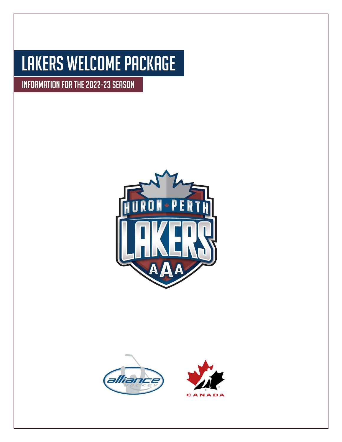# Lakers Welcome Package

INFORMATION FOR THE 2022-23 SEASON





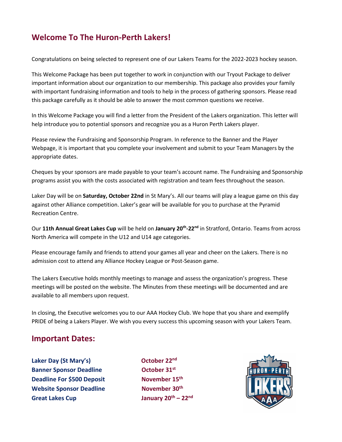# **Welcome To The Huron-Perth Lakers!**

Congratulations on being selected to represent one of our Lakers Teams for the 2022-2023 hockey season.

This Welcome Package has been put together to work in conjunction with our Tryout Package to deliver important information about our organization to our membership. This package also provides your family with important fundraising information and tools to help in the process of gathering sponsors. Please read this package carefully as it should be able to answer the most common questions we receive.

In this Welcome Package you will find a letter from the President of the Lakers organization. This letter will help introduce you to potential sponsors and recognize you as a Huron Perth Lakers player.

Please review the Fundraising and Sponsorship Program. In reference to the Banner and the Player Webpage, it is important that you complete your involvement and submit to your Team Managers by the appropriate dates.

Cheques by your sponsors are made payable to your team's account name. The Fundraising and Sponsorship programs assist you with the costs associated with registration and team fees throughout the season.

Laker Day will be on **Saturday, October 22nd** in St Mary's. All our teams will play a league game on this day against other Alliance competition. Laker's gear will be available for you to purchase at the Pyramid Recreation Centre.

Our 11th Annual Great Lakes Cup will be held on January 20<sup>th</sup>-22<sup>nd</sup> in Stratford, Ontario. Teams from across North America will compete in the U12 and U14 age categories.

Please encourage family and friends to attend your games all year and cheer on the Lakers. There is no admission cost to attend any Alliance Hockey League or Post-Season game.

The Lakers Executive holds monthly meetings to manage and assess the organization's progress. These meetings will be posted on the website. The Minutes from these meetings will be documented and are available to all members upon request.

In closing, the Executive welcomes you to our AAA Hockey Club. We hope that you share and exemplify PRIDE of being a Lakers Player. We wish you every success this upcoming season with your Lakers Team.

## **Important Dates:**

**Laker Day (St Mary's) Banner Sponsor Deadline October 31st Deadline For \$500 Deposit** November 15<sup>th</sup> **Website Sponsor Deadline Great Lakes Cup** 

October 22<sup>nd</sup> **November 30th th – 22nd**

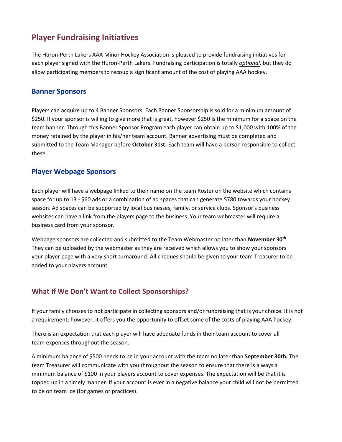# **Player Fundraising Initiatives**

The Huron-Perth Lakers AAA Minor Hockey Association is pleased to provide fundraising initiatives for each player signed with the Huron-Perth Lakers. Fundraising participation is totally *optional*, but they do allow participating members to recoup a significant amount of the cost of playing AAA hockey.

#### **Banner Sponsors**

Players can acquire up to 4 Banner Sponsors. Each Banner Sponsorship is sold for a minimum amount of \$250. If your sponsor is willing to give more that is great, however \$250 is the minimum for a space on the team banner. Through this Banner Sponsor Program each player can obtain up to \$1,000 with 100% of the money retained by the player in his/her team account. Banner advertising must be completed and submitted to the Team Manager before **October 31st.** Each team will have a person responsible to collect these.

#### **Player Webpage Sponsors**

Each player will have a webpage linked to their name on the team Roster on the website which contains space for up to 13 - \$60 ads or a combination of ad spaces that can generate \$780 towards your hockey season. Ad spaces can be supported by local businesses, family, or service clubs. Sponsor's business websites can have a link from the players page to the business. Your team webmaster will require a business card from your sponsor.

Webpage sponsors are collected and submitted to the Team Webmaster no later than November 30<sup>th</sup>. They can be uploaded by the webmaster as they are received which allows you to show your sponsors your player page with a very short turnaround. All cheques should be given to your team Treasurer to be added to your players account.

## **What If We Don't Want to Collect Sponsorships?**

If your family chooses to not participate in collecting sponsors and/or fundraising that is your choice. It is not a requirement; however, it offers you the opportunity to offset some of the costs of playing AAA hockey.

There is an expectation that each player will have adequate funds in their team account to cover all team expenses throughout the season.

A minimum balance of \$500 needs to be in your account with the team no later than **September 30th.** The team Treasurer will communicate with you throughout the season to ensure that there is always a minimum balance of \$100 in your players account to cover expenses. The expectation will be that it is topped up in a timely manner. If your account is ever in a negative balance your child will not be permitted to be on team ice (for games or practices).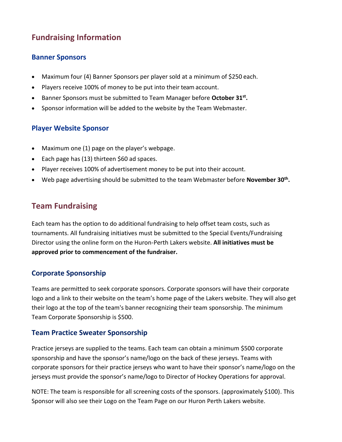# **Fundraising Information**

#### **Banner Sponsors**

- Maximum four (4) Banner Sponsors per player sold at a minimum of \$250 each.
- Players receive 100% of money to be put into their team account.
- Banner Sponsors must be submitted to Team Manager before **October 31st .**
- Sponsor information will be added to the website by the Team Webmaster.

## **Player Website Sponsor**

- Maximum one (1) page on the player's webpage.
- Each page has (13) thirteen \$60 ad spaces.
- Player receives 100% of advertisement money to be put into their account.
- Web page advertising should be submitted to the team Webmaster before November 30<sup>th</sup>.

# **Team Fundraising**

Each team has the option to do additional fundraising to help offset team costs, such as tournaments. All fundraising initiatives must be submitted to the Special Events/Fundraising Director using the online form on the Huron-Perth Lakers website. **All initiatives must be approved prior to commencement of the fundraiser.**

## **Corporate Sponsorship**

Teams are permitted to seek corporate sponsors. Corporate sponsors will have their corporate logo and a link to their website on the team's home page of the Lakers website. They will also get their logo at the top of the team's banner recognizing their team sponsorship. The minimum Team Corporate Sponsorship is \$500.

## **Team Practice Sweater Sponsorship**

Practice jerseys are supplied to the teams. Each team can obtain a minimum \$500 corporate sponsorship and have the sponsor's name/logo on the back of these jerseys. Teams with corporate sponsors for their practice jerseys who want to have their sponsor's name/logo on the jerseys must provide the sponsor's name/logo to Director of Hockey Operations for approval.

NOTE: The team is responsible for all screening costs of the sponsors. (approximately \$100). This Sponsor will also see their Logo on the Team Page on our Huron Perth Lakers website.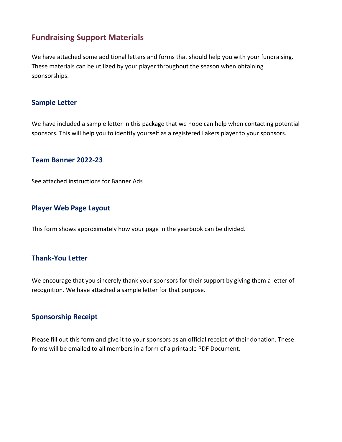# **Fundraising Support Materials**

We have attached some additional letters and forms that should help you with your fundraising. These materials can be utilized by your player throughout the season when obtaining sponsorships.

#### **Sample Letter**

We have included a sample letter in this package that we hope can help when contacting potential sponsors. This will help you to identify yourself as a registered Lakers player to your sponsors.

#### **Team Banner 2022-23**

See attached instructions for Banner Ads

#### **Player Web Page Layout**

This form shows approximately how your page in the yearbook can be divided.

#### **Thank-You Letter**

We encourage that you sincerely thank your sponsors for their support by giving them a letter of recognition. We have attached a sample letter for that purpose.

#### **Sponsorship Receipt**

Please fill out this form and give it to your sponsors as an official receipt of their donation. These forms will be emailed to all members in a form of a printable PDF Document.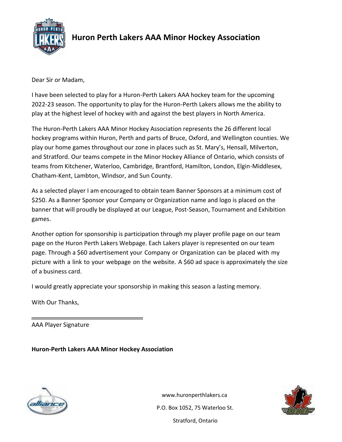

# **Huron Perth Lakers AAA Minor Hockey Association**

Dear Sir or Madam,

I have been selected to play for a Huron-Perth Lakers AAA hockey team for the upcoming 2022-23 season. The opportunity to play for the Huron-Perth Lakers allows me the ability to play at the highest level of hockey with and against the best players in North America.

The Huron-Perth Lakers AAA Minor Hockey Association represents the 26 different local hockey programs within Huron, Perth and parts of Bruce, Oxford, and Wellington counties. We play our home games throughout our zone in places such as St. Mary's, Hensall, Milverton, and Stratford. Our teams compete in the Minor Hockey Alliance of Ontario, which consists of teams from Kitchener, Waterloo, Cambridge, Brantford, Hamilton, London, Elgin-Middlesex, Chatham-Kent, Lambton, Windsor, and Sun County.

As a selected player I am encouraged to obtain team Banner Sponsors at a minimum cost of \$250. As a Banner Sponsor your Company or Organization name and logo is placed on the banner that will proudly be displayed at our League, Post-Season, Tournament and Exhibition games.

Another option for sponsorship is participation through my player profile page on our team page on the Huron Perth Lakers Webpage. Each Lakers player is represented on our team page. Through a \$60 advertisement your Company or Organization can be placed with my picture with a link to your webpage on the website. A \$60 ad space is approximately the size of a business card.

I would greatly appreciate your sponsorship in making this season a lasting memory.

With Our Thanks,

AAA Player Signature

**Huron-Perth Lakers AAA Minor Hockey Association**



[www.huronperthlakers.ca](http://www.huronperthlakers.ca/) P.O. Box 1052, 75 Waterloo St.

Stratford, Ontario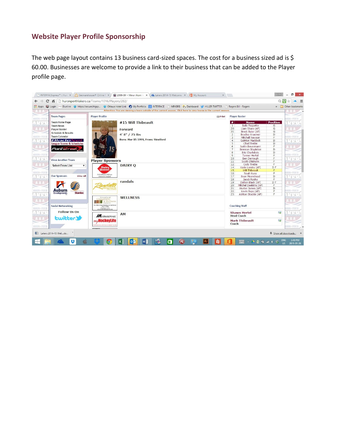### **Website Player Profile Sponsorship**

The web page layout contains 13 business card-sized spaces. The cost for a business sized ad is \$ 60.00. Businesses are welcome to provide a link to their business that can be added to the Player profile page.

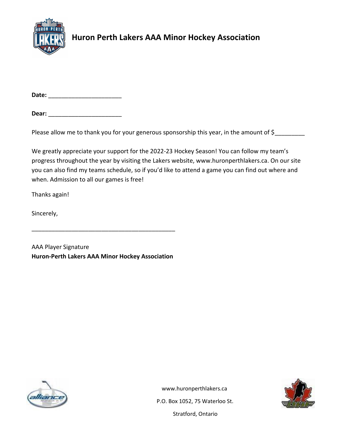

# **Huron Perth Lakers AAA Minor Hockey Association**

**Date:** \_\_\_\_\_\_\_\_\_\_\_\_\_\_\_\_\_\_\_\_\_\_

**Dear:** \_\_\_\_\_\_\_\_\_\_\_\_\_\_\_\_\_\_\_\_\_\_

Please allow me to thank you for your generous sponsorship this year, in the amount of \$\_\_\_\_\_\_\_\_\_\_\_

We greatly appreciate your support for the 2022-23 Hockey Season! You can follow my team's progress throughout the year by visiting the Lakers website, www.huronperthlakers.ca. On our site you can also find my teams schedule, so if you'd like to attend a game you can find out where and when. Admission to all our games is free!

Thanks again!

Sincerely,

AAA Player Signature **Huron-Perth Lakers AAA Minor Hockey Association**

\_\_\_\_\_\_\_\_\_\_\_\_\_\_\_\_\_\_\_\_\_\_\_\_\_\_\_\_\_\_\_\_\_\_\_\_\_\_\_\_\_\_\_





[www.huronperthlakers.ca](http://www.huronperthlakers.ca/)

P.O. Box 1052, 75 Waterloo St. Stratford, Ontario